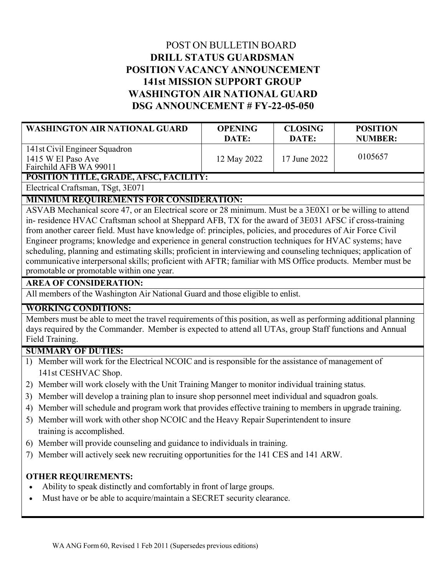# POST ON BULLETIN BOARD **DRILL STATUS GUARDSMAN POSITION VACANCY ANNOUNCEMENT 141st MISSION SUPPORT GROUP WASHINGTON AIR NATIONAL GUARD DSG ANNOUNCEMENT # FY-22-05-050**

| <b>WASHINGTON AIR NATIONAL GUARD</b>                                          | <b>OPENING</b><br>DATE: | <b>CLOSING</b><br>DATE: | <b>POSITION</b><br><b>NUMBER:</b> |
|-------------------------------------------------------------------------------|-------------------------|-------------------------|-----------------------------------|
| 141st Civil Engineer Squadron<br>1415 W El Paso Ave<br>Fairchild AFB WA 99011 | 12 May 2022             | 17 June 2022            | 0105657                           |
| POSITION TITLE, GRADE, AFSC, FACILITY:                                        |                         |                         |                                   |

Electrical Craftsman, TSgt, 3E071

### **MINIMUM REQUIREMENTS FOR CONSIDERATION:**

ASVAB Mechanical score 47, or an Electrical score or 28 minimum. Must be a 3E0X1 or be willing to attend in- residence HVAC Craftsman school at Sheppard AFB, TX for the award of 3E031 AFSC if cross-training from another career field. Must have knowledge of: principles, policies, and procedures of Air Force Civil Engineer programs; knowledge and experience in general construction techniques for HVAC systems; have scheduling, planning and estimating skills; proficient in interviewing and counseling techniques; application of communicative interpersonal skills; proficient with AFTR; familiar with MS Office products. Member must be promotable or promotable within one year.

#### **AREA OF CONSIDERATION:**

All members of the Washington Air National Guard and those eligible to enlist.

### **WORKING CONDITIONS:**

Members must be able to meet the travel requirements of this position, as well as performing additional planning days required by the Commander. Member is expected to attend all UTAs, group Staff functions and Annual Field Training.

### **SUMMARY OF DUTIES:**

- 1) Member will work for the Electrical NCOIC and is responsible for the assistance of management of 141st CESHVAC Shop.
- 2) Member will work closely with the Unit Training Manger to monitor individual training status.
- 3) Member will develop a training plan to insure shop personnel meet individual and squadron goals.
- 4) Member will schedule and program work that provides effective training to members in upgrade training.
- 5) Member will work with other shop NCOIC and the Heavy Repair Superintendent to insure training is accomplished.
- 6) Member will provide counseling and guidance to individuals in training.
- 7) Member will actively seek new recruiting opportunities for the 141 CES and 141 ARW.

## **OTHER REQUIREMENTS:**

- Ability to speak distinctly and comfortably in front of large groups.
- Must have or be able to acquire/maintain a SECRET security clearance.